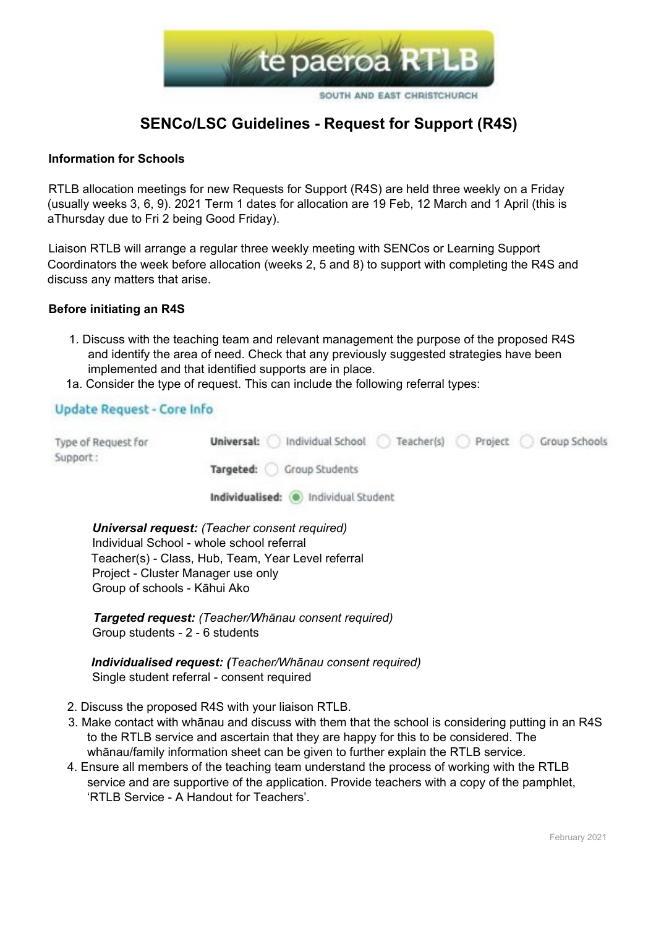

# **SENCo/LSC Guidelines - Request for Support (R4S)**

#### **Information for Schools**

RTLB allocation meetings for new Requests for Support (R4S) are held three weekly on a Friday (usually weeks 3, 6, 9). 2021 Term 1 dates for allocation are 19 Feb, 12 March and 1 April (this is aThursday due to Fri 2 being Good Friday).

Liaison RTLB will arrange a regular three weekly meeting with SENCos or Learning Support Coordinators the week before allocation (weeks 2, 5 and 8) to support with completing the R4S and discuss any matters that arise.

#### **Before initiating an R4S**

- 1. Discuss with the teaching team and relevant management the purpose of the proposed R4S and identify the area of need. Check that any previously suggested strategies have been implemented and that identified supports are in place.
- 1a. Consider the type of request. This can include the following referral types:

### Update Request - Core Info

| Type of Request for<br>Support: | Individual School<br>Teacher(s) Project (<br>Group Schools<br>Universal: |
|---------------------------------|--------------------------------------------------------------------------|
|                                 | Targeted: Group Students                                                 |
|                                 | Individualised: (a) Individual Student                                   |

*Universal request: (Teacher consent required)* Individual School - whole school referral Teacher(s) - Class, Hub, Team, Year Level referral Project - Cluster Manager use only Group of schools - Kāhui Ako

*Targeted request: (Teacher/Whānau consent required)* Group students - 2 - 6 students

*Individualised request: (Teacher/Whānau consent required)* Single student referral - consent required

- 2. Discuss the proposed R4S with your liaison RTLB.
- 3. Make contact with whānau and discuss with them that the school is considering putting in an R4S to the RTLB service and ascertain that they are happy for this to be considered. The whānau/family information sheet can be given to further explain the RTLB service.
- 4. Ensure all members of the teaching team understand the process of working with the RTLB service and are supportive of the application. Provide teachers with a copy of the pamphlet, 'RTLB Service - A Handout for Teachers'.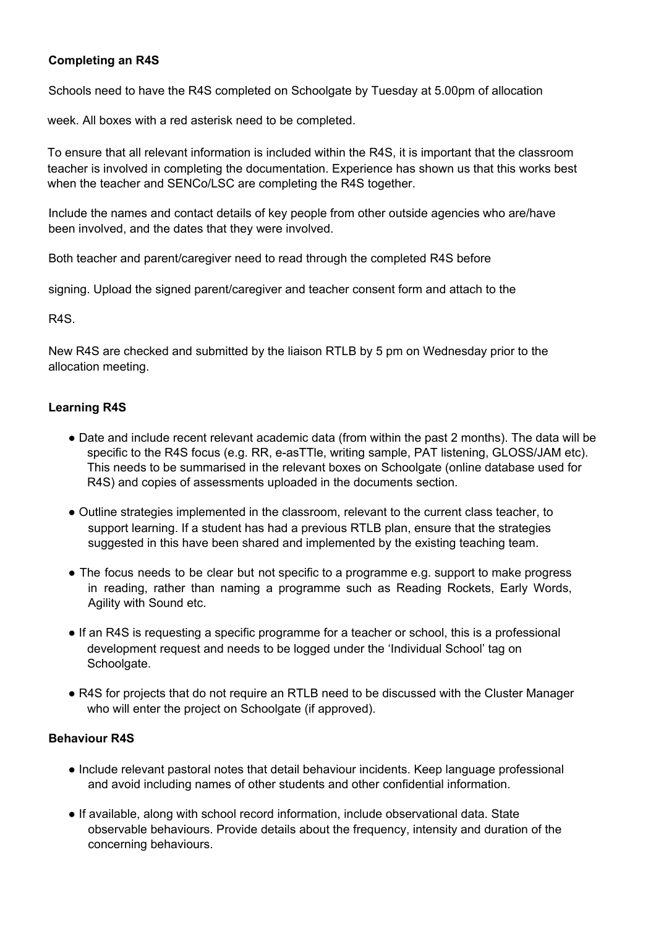# **Completing an R4S**

Schools need to have the R4S completed on Schoolgate by Tuesday at 5.00pm of allocation

week. All boxes with a red asterisk need to be completed.

To ensure that all relevant information is included within the R4S, it is important that the classroom teacher is involved in completing the documentation. Experience has shown us that this works best when the teacher and SENCo/LSC are completing the R4S together.

Include the names and contact details of key people from other outside agencies who are/have been involved, and the dates that they were involved.

Both teacher and parent/caregiver need to read through the completed R4S before

signing. Upload the signed parent/caregiver and teacher consent form and attach to the

R4S.

New R4S are checked and submitted by the liaison RTLB by 5 pm on Wednesday prior to the allocation meeting.

## **Learning R4S**

- Date and include recent relevant academic data (from within the past 2 months). The data will be specific to the R4S focus (e.g. RR, e-asTTle, writing sample, PAT listening, GLOSS/JAM etc). This needs to be summarised in the relevant boxes on Schoolgate (online database used for R4S) and copies of assessments uploaded in the documents section.
- Outline strategies implemented in the classroom, relevant to the current class teacher, to support learning. If a student has had a previous RTLB plan, ensure that the strategies suggested in this have been shared and implemented by the existing teaching team.
- The focus needs to be clear but not specific to a programme e.g. support to make progress in reading, rather than naming a programme such as Reading Rockets, Early Words, Agility with Sound etc.
- If an R4S is requesting a specific programme for a teacher or school, this is a professional development request and needs to be logged under the 'Individual School' tag on Schoolgate.
- R4S for projects that do not require an RTLB need to be discussed with the Cluster Manager who will enter the project on Schoolgate (if approved).

### **Behaviour R4S**

- Include relevant pastoral notes that detail behaviour incidents. Keep language professional and avoid including names of other students and other confidential information.
- If available, along with school record information, include observational data. State observable behaviours. Provide details about the frequency, intensity and duration of the concerning behaviours.